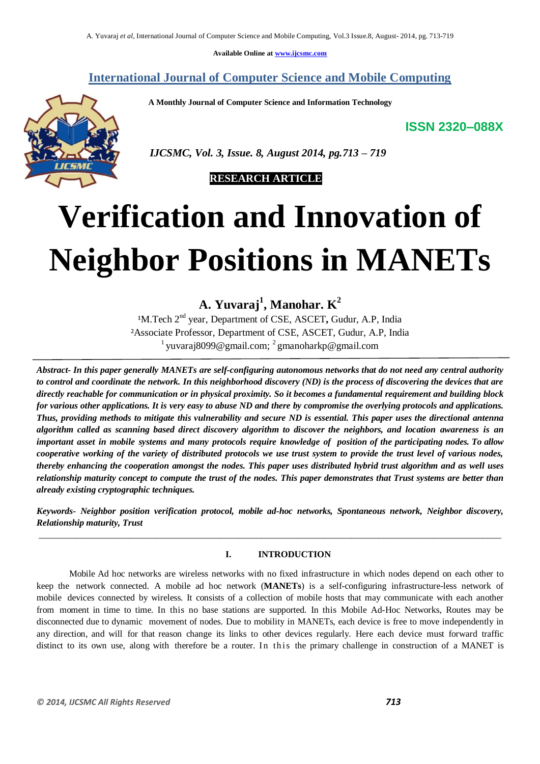**Available Online at www.ijcsmc.com**

# **International Journal of Computer Science and Mobile Computing**

 **A Monthly Journal of Computer Science and Information Technology**

**ISSN 2320–088X**



 *IJCSMC, Vol. 3, Issue. 8, August 2014, pg.713 – 719*

# **RESEARCH ARTICLE**

# **Verification and Innovation of Neighbor Positions in MANETs**

**A. Yuvaraj<sup>1</sup> , Manohar. K<sup>2</sup>**

<sup>1</sup>M.Tech 2<sup>nd</sup> year, Department of CSE, ASCET, Gudur, A.P, India ²Associate Professor, Department of CSE, ASCET, Gudur, A.P, India <sup>1</sup> yuvaraj8099@gmail.com; <sup>2</sup> gmanoharkp@gmail.com

*Abstract- In this paper generally MANETs are self-configuring autonomous networks that do not need any central authority to control and coordinate the network. In this neighborhood discovery (ND) is the process of discovering the devices that are directly reachable for communication or in physical proximity. So it becomes a fundamental requirement and building block for various other applications. It is very easy to abuse ND and there by compromise the overlying protocols and applications. Thus, providing methods to mitigate this vulnerability and secure ND is essential. This paper uses the directional antenna algorithm called as scanning based direct discovery algorithm to discover the neighbors, and location awareness is an* important asset in mobile systems and many protocols require knowledge of position of the participating nodes. To allow *cooperative working of the variety of distributed protocols we use trust system to provide the trust level of various nodes, thereby enhancing the cooperation amongst the nodes. This paper uses distributed hybrid trust algorithm and as well uses relationship maturity concept to compute the trust of the nodes. This paper demonstrates that Trust systems are better than already existing cryptographic techniques.*

*Keywords- Neighbor position verification protocol, mobile ad-hoc networks, Spontaneous network, Neighbor discovery, Relationship maturity, Trust* \_\_\_\_\_\_\_\_\_\_\_\_\_\_\_\_\_\_\_\_\_\_\_\_\_\_\_\_\_\_\_\_\_\_\_\_\_\_\_\_\_\_\_\_\_\_\_\_\_\_\_\_\_\_\_\_\_\_\_\_\_\_\_\_\_\_\_\_\_\_\_\_\_\_\_\_\_\_\_\_\_\_\_\_\_\_\_\_\_\_\_\_\_\_\_\_\_\_\_\_\_\_

# **I. INTRODUCTION**

Mobile Ad hoc networks are wireless networks with no fixed infrastructure in which nodes depend on each other to keep the network connected. A mobile ad hoc network (**MANETs**) is a self-configuring infrastructure-less network of mobile devices connected by wireless. It consists of a collection of mobile hosts that may communicate with each another from moment in time to time. In this no base stations are supported. In this Mobile Ad-Hoc Networks, Routes may be disconnected due to dynamic movement of nodes. Due to mobility in MANETs, each device is free to move independently in any direction, and will for that reason change its links to other devices regularly. Here each device must forward traffic distinct to its own use, along with therefore be a router. In this the primary challenge in construction of a MANET is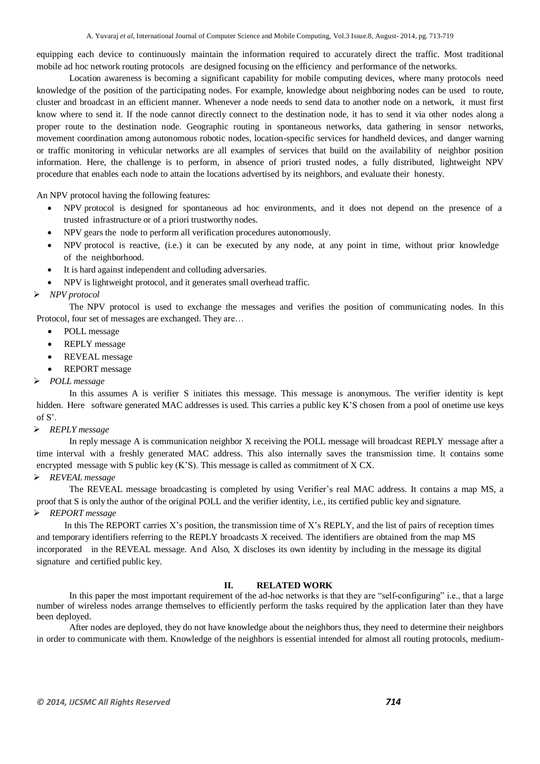equipping each device to continuously maintain the information required to accurately direct the traffic. Most traditional mobile ad hoc network routing protocols are designed focusing on the efficiency and performance of the networks.

Location awareness is becoming a significant capability for mobile computing devices, where many protocols need knowledge of the position of the participating nodes. For example, knowledge about neighboring nodes can be used to route, cluster and broadcast in an efficient manner. Whenever a node needs to send data to another node on a network, it must first know where to send it. If the node cannot directly connect to the destination node, it has to send it via other nodes along a proper route to the destination node. Geographic routing in spontaneous networks, data gathering in sensor networks, movement coordination among autonomous robotic nodes, location-specific services for handheld devices, and danger warning or traffic monitoring in vehicular networks are all examples of services that build on the availability of neighbor position information. Here, the challenge is to perform, in absence of priori trusted nodes, a fully distributed, lightweight NPV procedure that enables each node to attain the locations advertised by its neighbors, and evaluate their honesty.

An NPV protocol having the following features:

- NPV protocol is designed for spontaneous ad hoc environments, and it does not depend on the presence of a trusted infrastructure or of a priori trustworthy nodes.
- NPV gears the node to perform all verification procedures autonomously.
- NPV protocol is reactive, (i.e.) it can be executed by any node, at any point in time, without prior knowledge of the neighborhood.
- It is hard against independent and colluding adversaries.
- NPV is lightweight protocol, and it generates small overhead traffic.

# *NPV protocol*

The NPV protocol is used to exchange the messages and verifies the position of communicating nodes. In this Protocol, four set of messages are exchanged. They are…

- POLL message
- REPLY message
- REVEAL message
- REPORT message
- *POLL message*

In this assumes A is verifier S initiates this message. This message is anonymous. The verifier identity is kept hidden. Here software generated MAC addresses is used. This carries a public key K'S chosen from a pool of onetime use keys of S'.

### *REPLY message*

In reply message A is communication neighbor X receiving the POLL message will broadcast REPLY message after a time interval with a freshly generated MAC address. This also internally saves the transmission time. It contains some encrypted message with S public key  $(K'S)$ . This message is called as commitment of X CX.

# *REVEAL message*

The REVEAL message broadcasting is completed by using Verifier's real MAC address. It contains a map MS, a proof that S is only the author of the original POLL and the verifier identity, i.e., its certified public key and signature. *REPORT message*

In this The REPORT carries  $X$ 's position, the transmission time of  $X$ 's REPLY, and the list of pairs of reception times and temporary identifiers referring to the REPLY broadcasts X received. The identifiers are obtained from the map MS incorporated in the REVEAL message. And Also, X discloses its own identity by including in the message its digital signature and certified public key.

#### **II. RELATED WORK**

In this paper the most important requirement of the ad-hoc networks is that they are "self-configuring" i.e., that a large number of wireless nodes arrange themselves to efficiently perform the tasks required by the application later than they have been deployed.

After nodes are deployed, they do not have knowledge about the neighbors thus, they need to determine their neighbors in order to communicate with them. Knowledge of the neighbors is essential intended for almost all routing protocols, medium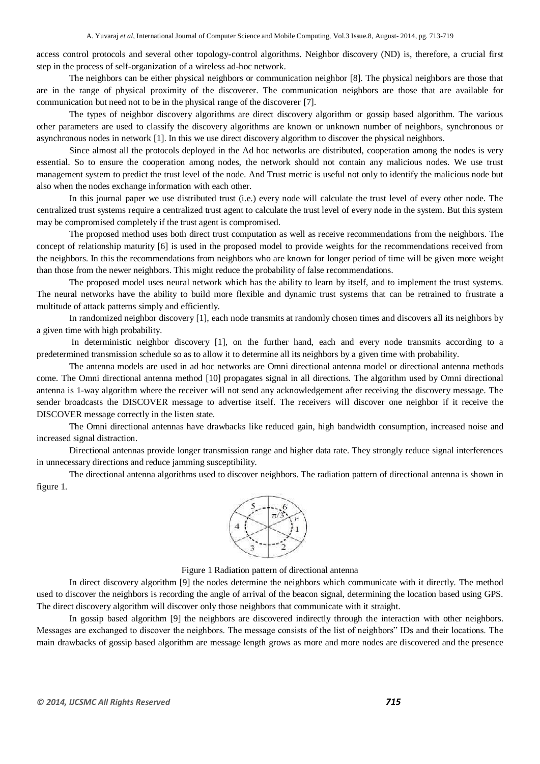access control protocols and several other topology-control algorithms. Neighbor discovery (ND) is, therefore, a crucial first step in the process of self-organization of a wireless ad-hoc network.

The neighbors can be either physical neighbors or communication neighbor [8]. The physical neighbors are those that are in the range of physical proximity of the discoverer. The communication neighbors are those that are available for communication but need not to be in the physical range of the discoverer [7].

The types of neighbor discovery algorithms are direct discovery algorithm or gossip based algorithm. The various other parameters are used to classify the discovery algorithms are known or unknown number of neighbors, synchronous or asynchronous nodes in network [1]. In this we use direct discovery algorithm to discover the physical neighbors.

Since almost all the protocols deployed in the Ad hoc networks are distributed, cooperation among the nodes is very essential. So to ensure the cooperation among nodes, the network should not contain any malicious nodes. We use trust management system to predict the trust level of the node. And Trust metric is useful not only to identify the malicious node but also when the nodes exchange information with each other.

In this journal paper we use distributed trust (i.e.) every node will calculate the trust level of every other node. The centralized trust systems require a centralized trust agent to calculate the trust level of every node in the system. But this system may be compromised completely if the trust agent is compromised.

The proposed method uses both direct trust computation as well as receive recommendations from the neighbors. The concept of relationship maturity [6] is used in the proposed model to provide weights for the recommendations received from the neighbors. In this the recommendations from neighbors who are known for longer period of time will be given more weight than those from the newer neighbors. This might reduce the probability of false recommendations.

The proposed model uses neural network which has the ability to learn by itself, and to implement the trust systems. The neural networks have the ability to build more flexible and dynamic trust systems that can be retrained to frustrate a multitude of attack patterns simply and efficiently.

In randomized neighbor discovery [1], each node transmits at randomly chosen times and discovers all its neighbors by a given time with high probability.

In deterministic neighbor discovery [1], on the further hand, each and every node transmits according to a predetermined transmission schedule so as to allow it to determine all its neighbors by a given time with probability.

The antenna models are used in ad hoc networks are Omni directional antenna model or directional antenna methods come. The Omni directional antenna method [10] propagates signal in all directions. The algorithm used by Omni directional antenna is 1-way algorithm where the receiver will not send any acknowledgement after receiving the discovery message. The sender broadcasts the DISCOVER message to advertise itself. The receivers will discover one neighbor if it receive the DISCOVER message correctly in the listen state.

The Omni directional antennas have drawbacks like reduced gain, high bandwidth consumption, increased noise and increased signal distraction.

Directional antennas provide longer transmission range and higher data rate. They strongly reduce signal interferences in unnecessary directions and reduce jamming susceptibility.

The directional antenna algorithms used to discover neighbors. The radiation pattern of directional antenna is shown in figure 1.



Figure 1 Radiation pattern of directional antenna

In direct discovery algorithm [9] the nodes determine the neighbors which communicate with it directly. The method used to discover the neighbors is recording the angle of arrival of the beacon signal, determining the location based using GPS. The direct discovery algorithm will discover only those neighbors that communicate with it straight.

In gossip based algorithm [9] the neighbors are discovered indirectly through the interaction with other neighbors. Messages are exchanged to discover the neighbors. The message consists of the list of neighbors" IDs and their locations. The main drawbacks of gossip based algorithm are message length grows as more and more nodes are discovered and the presence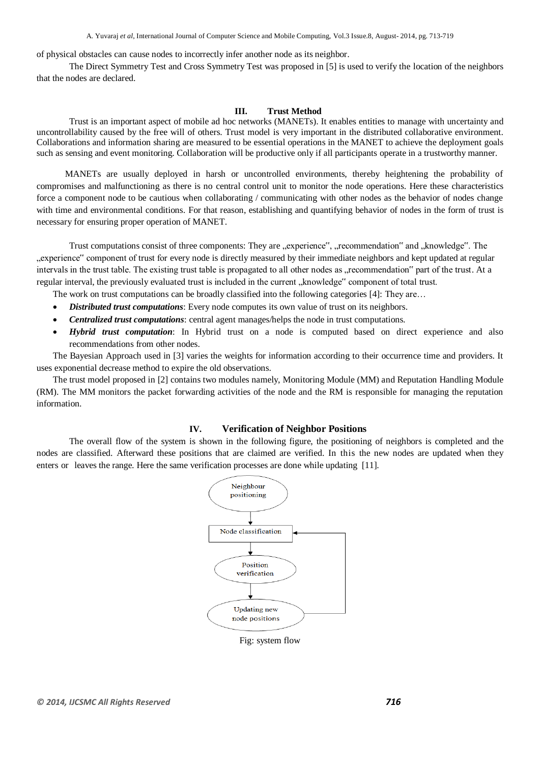A. Yuvaraj *et al*, International Journal of Computer Science and Mobile Computing, Vol.3 Issue.8, August- 2014, pg. 713-719

of physical obstacles can cause nodes to incorrectly infer another node as its neighbor.

The Direct Symmetry Test and Cross Symmetry Test was proposed in [5] is used to verify the location of the neighbors that the nodes are declared.

#### **III. Trust Method**

Trust is an important aspect of mobile ad hoc networks (MANETs). It enables entities to manage with uncertainty and uncontrollability caused by the free will of others. Trust model is very important in the distributed collaborative environment. Collaborations and information sharing are measured to be essential operations in the MANET to achieve the deployment goals such as sensing and event monitoring. Collaboration will be productive only if all participants operate in a trustworthy manner.

MANETs are usually deployed in harsh or uncontrolled environments, thereby heightening the probability of compromises and malfunctioning as there is no central control unit to monitor the node operations. Here these characteristics force a component node to be cautious when collaborating / communicating with other nodes as the behavior of nodes change with time and environmental conditions. For that reason, establishing and quantifying behavior of nodes in the form of trust is necessary for ensuring proper operation of MANET.

Trust computations consist of three components: They are "experience", "recommendation" and "knowledge". The "experience" component of trust for every node is directly measured by their immediate neighbors and kept updated at regular intervals in the trust table. The existing trust table is propagated to all other nodes as "recommendation" part of the trust. At a regular interval, the previously evaluated trust is included in the current "knowledge" component of total trust.

The work on trust computations can be broadly classified into the following categories [4]: They are...

- *Distributed trust computations*: Every node computes its own value of trust on its neighbors.
- *Centralized trust computations*: central agent manages/helps the node in trust computations.
- *Hybrid trust computation*: In Hybrid trust on a node is computed based on direct experience and also recommendations from other nodes.

The Bayesian Approach used in [3] varies the weights for information according to their occurrence time and providers. It uses exponential decrease method to expire the old observations.

The trust model proposed in [2] contains two modules namely, Monitoring Module (MM) and Reputation Handling Module (RM). The MM monitors the packet forwarding activities of the node and the RM is responsible for managing the reputation information.

#### **IV. Verification of Neighbor Positions**

The overall flow of the system is shown in the following figure, the positioning of neighbors is completed and the nodes are classified. Afterward these positions that are claimed are verified. In this the new nodes are updated when they enters or leaves the range. Here the same verification processes are done while updating [11].



Fig: system flow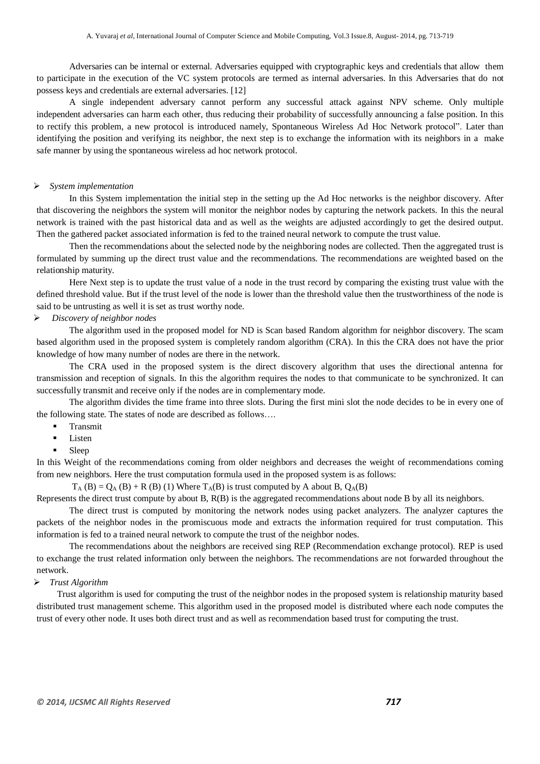Adversaries can be internal or external. Adversaries equipped with cryptographic keys and credentials that allow them to participate in the execution of the VC system protocols are termed as internal adversaries. In this Adversaries that do not possess keys and credentials are external adversaries. [12]

A single independent adversary cannot perform any successful attack against NPV scheme. Only multiple independent adversaries can harm each other, thus reducing their probability of successfully announcing a false position. In this to rectify this problem, a new protocol is introduced namely, Spontaneous Wireless Ad Hoc Network protocol". Later than identifying the position and verifying its neighbor, the next step is to exchange the information with its neighbors in a make safe manner by using the spontaneous wireless ad hoc network protocol.

#### *System implementation*

In this System implementation the initial step in the setting up the Ad Hoc networks is the neighbor discovery. After that discovering the neighbors the system will monitor the neighbor nodes by capturing the network packets. In this the neural network is trained with the past historical data and as well as the weights are adjusted accordingly to get the desired output. Then the gathered packet associated information is fed to the trained neural network to compute the trust value.

Then the recommendations about the selected node by the neighboring nodes are collected. Then the aggregated trust is formulated by summing up the direct trust value and the recommendations. The recommendations are weighted based on the relationship maturity.

Here Next step is to update the trust value of a node in the trust record by comparing the existing trust value with the defined threshold value. But if the trust level of the node is lower than the threshold value then the trustworthiness of the node is said to be untrusting as well it is set as trust worthy node.

#### *Discovery of neighbor nodes*

The algorithm used in the proposed model for ND is Scan based Random algorithm for neighbor discovery. The scam based algorithm used in the proposed system is completely random algorithm (CRA). In this the CRA does not have the prior knowledge of how many number of nodes are there in the network.

The CRA used in the proposed system is the direct discovery algorithm that uses the directional antenna for transmission and reception of signals. In this the algorithm requires the nodes to that communicate to be synchronized. It can successfully transmit and receive only if the nodes are in complementary mode.

The algorithm divides the time frame into three slots. During the first mini slot the node decides to be in every one of the following state. The states of node are described as follows….

- Transmit
- Listen
- Sleep

In this Weight of the recommendations coming from older neighbors and decreases the weight of recommendations coming from new neighbors. Here the trust computation formula used in the proposed system is as follows:

 $T_A$  (B) = Q<sub>A</sub> (B) + R (B) (1) Where  $T_A$ (B) is trust computed by A about B, Q<sub>A</sub>(B)

Represents the direct trust compute by about B, R(B) is the aggregated recommendations about node B by all its neighbors.

The direct trust is computed by monitoring the network nodes using packet analyzers. The analyzer captures the packets of the neighbor nodes in the promiscuous mode and extracts the information required for trust computation. This information is fed to a trained neural network to compute the trust of the neighbor nodes.

The recommendations about the neighbors are received sing REP (Recommendation exchange protocol). REP is used to exchange the trust related information only between the neighbors. The recommendations are not forwarded throughout the network.

#### *Trust Algorithm*

Trust algorithm is used for computing the trust of the neighbor nodes in the proposed system is relationship maturity based distributed trust management scheme. This algorithm used in the proposed model is distributed where each node computes the trust of every other node. It uses both direct trust and as well as recommendation based trust for computing the trust.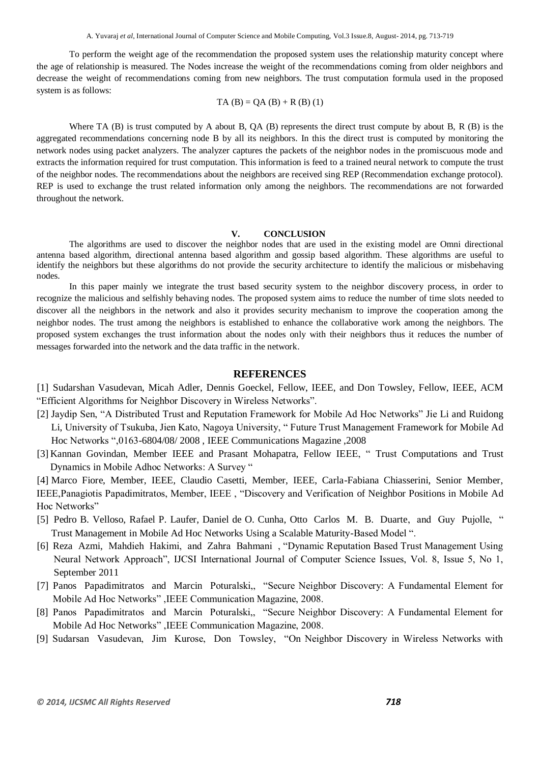To perform the weight age of the recommendation the proposed system uses the relationship maturity concept where the age of relationship is measured. The Nodes increase the weight of the recommendations coming from older neighbors and decrease the weight of recommendations coming from new neighbors. The trust computation formula used in the proposed system is as follows:

$$
TA(B) = QA(B) + R(B) (1)
$$

Where TA  $(B)$  is trust computed by A about B,  $OA (B)$  represents the direct trust compute by about B, R  $(B)$  is the aggregated recommendations concerning node B by all its neighbors. In this the direct trust is computed by monitoring the network nodes using packet analyzers. The analyzer captures the packets of the neighbor nodes in the promiscuous mode and extracts the information required for trust computation. This information is feed to a trained neural network to compute the trust of the neighbor nodes. The recommendations about the neighbors are received sing REP (Recommendation exchange protocol). REP is used to exchange the trust related information only among the neighbors. The recommendations are not forwarded throughout the network.

#### **V. CONCLUSION**

The algorithms are used to discover the neighbor nodes that are used in the existing model are Omni directional antenna based algorithm, directional antenna based algorithm and gossip based algorithm. These algorithms are useful to identify the neighbors but these algorithms do not provide the security architecture to identify the malicious or misbehaving nodes.

In this paper mainly we integrate the trust based security system to the neighbor discovery process, in order to recognize the malicious and selfishly behaving nodes. The proposed system aims to reduce the number of time slots needed to discover all the neighbors in the network and also it provides security mechanism to improve the cooperation among the neighbor nodes. The trust among the neighbors is established to enhance the collaborative work among the neighbors. The proposed system exchanges the trust information about the nodes only with their neighbors thus it reduces the number of messages forwarded into the network and the data traffic in the network.

# **REFERENCES**

[1] Sudarshan Vasudevan, Micah Adler, Dennis Goeckel, Fellow, IEEE, and Don Towsley, Fellow, IEEE, ACM "Efficient Algorithms for Neighbor Discovery in Wireless Networks".

- [2] Jaydip Sen, "A Distributed Trust and Reputation Framework for Mobile Ad Hoc Networks" Jie Li and Ruidong Li, University of Tsukuba, Jien Kato, Nagoya University, " Future Trust Management Framework for Mobile Ad Hoc Networks ",0163-6804/08/ 2008 , IEEE Communications Magazine ,2008
- [3] Kannan Govindan, Member IEEE and Prasant Mohapatra, Fellow IEEE, " Trust Computations and Trust Dynamics in Mobile Adhoc Networks: A Survey "

[4] Marco Fiore, Member, IEEE, Claudio Casetti, Member, IEEE, Carla-Fabiana Chiasserini, Senior Member, IEEE,Panagiotis Papadimitratos, Member, IEEE , "Discovery and Verification of Neighbor Positions in Mobile Ad Hoc Networks"

- [5] Pedro B. Velloso, Rafael P. Laufer, Daniel de O. Cunha, Otto Carlos M. B. Duarte, and Guy Pujolle, " Trust Management in Mobile Ad Hoc Networks Using a Scalable Maturity-Based Model ".
- [6] Reza Azmi, Mahdieh Hakimi, and Zahra Bahmani , "Dynamic Reputation Based Trust Management Using Neural Network Approach", IJCSI International Journal of Computer Science Issues, Vol. 8, Issue 5, No 1, September 2011
- [7] Panos Papadimitratos and Marcin Poturalski,, "Secure Neighbor Discovery: A Fundamental Element for Mobile Ad Hoc Networks" ,IEEE Communication Magazine, 2008.
- [8] Panos Papadimitratos and Marcin Poturalski,, "Secure Neighbor Discovery: A Fundamental Element for Mobile Ad Hoc Networks" ,IEEE Communication Magazine, 2008.
- [9] Sudarsan Vasudevan, Jim Kurose, Don Towsley, "On Neighbor Discovery in Wireless Networks with